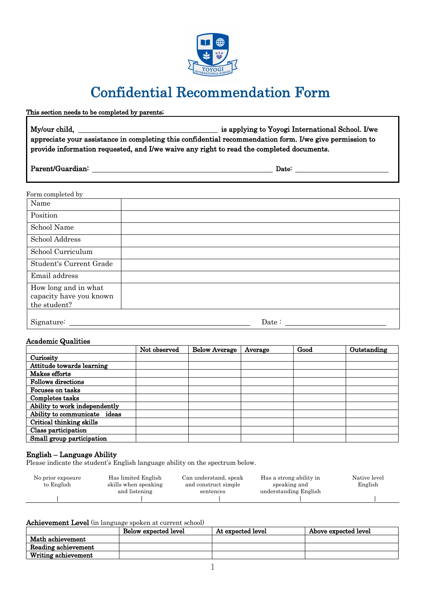

# Confidential Recommendation Form

# This section needs to be completed by parents; My/our child, is applying to Yoyogi International School. I/we appreciate your assistance in completing this confidential recommendation form. I/we give permission to provide information requested, and I/we waive any right to read the completed documents.

## Parent/Guardian: Date:

#### Form completed by

| Name                                                            |       |
|-----------------------------------------------------------------|-------|
| Position                                                        |       |
| School Name                                                     |       |
| School Address                                                  |       |
| School Curriculum                                               |       |
| Student's Current Grade                                         |       |
| Email address                                                   |       |
| How long and in what<br>capacity have you known<br>the student? |       |
| Signature:                                                      | Date: |

#### Academic Qualities

|                               | Not observed | <b>Below Average</b> | Average | Good | Outstanding |
|-------------------------------|--------------|----------------------|---------|------|-------------|
| Curiosity                     |              |                      |         |      |             |
| Attitude towards learning     |              |                      |         |      |             |
| Makes efforts                 |              |                      |         |      |             |
| <b>Follows directions</b>     |              |                      |         |      |             |
| Focuses on tasks              |              |                      |         |      |             |
| Completes tasks               |              |                      |         |      |             |
| Ability to work independently |              |                      |         |      |             |
| Ability to communicate ideas  |              |                      |         |      |             |
| Critical thinking skills      |              |                      |         |      |             |
| Class participation           |              |                      |         |      |             |
| Small group participation     |              |                      |         |      |             |

### English – Language Ability

Please indicate the student's English language ability on the spectrum below.

| No prior exposure<br>to English | Has limited English<br>skills when speaking<br>and listening | Can understand, speak<br>and construct simple<br>sentences | Has a strong ability in<br>speaking and<br>understanding English | Native level<br>English |
|---------------------------------|--------------------------------------------------------------|------------------------------------------------------------|------------------------------------------------------------------|-------------------------|
|                                 |                                                              |                                                            |                                                                  |                         |
|                                 |                                                              |                                                            |                                                                  |                         |

#### Achievement Level (in language spoken at current school)

|                     | Below expected level | At expected level | Above expected level |
|---------------------|----------------------|-------------------|----------------------|
| Math achievement    |                      |                   |                      |
| Reading achievement |                      |                   |                      |
| Writing achievement |                      |                   |                      |